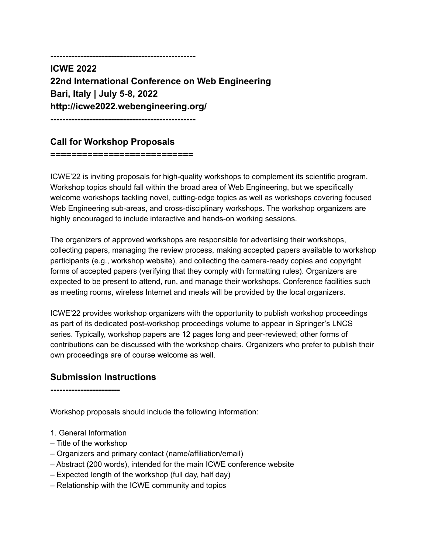**------------------------------------------------**

**ICWE 2022 22nd International Conference on Web Engineering Bari, Italy | July 5-8, 2022 http://icwe2022.webengineering.org/**

**------------------------------------------------**

## **Call for Workshop Proposals**

**===========================**

ICWE'22 is inviting proposals for high-quality workshops to complement its scientific program. Workshop topics should fall within the broad area of Web Engineering, but we specifically welcome workshops tackling novel, cutting-edge topics as well as workshops covering focused Web Engineering sub-areas, and cross-disciplinary workshops. The workshop organizers are highly encouraged to include interactive and hands-on working sessions.

The organizers of approved workshops are responsible for advertising their workshops, collecting papers, managing the review process, making accepted papers available to workshop participants (e.g., workshop website), and collecting the camera-ready copies and copyright forms of accepted papers (verifying that they comply with formatting rules). Organizers are expected to be present to attend, run, and manage their workshops. Conference facilities such as meeting rooms, wireless Internet and meals will be provided by the local organizers.

ICWE'22 provides workshop organizers with the opportunity to publish workshop proceedings as part of its dedicated post-workshop proceedings volume to appear in Springer's LNCS series. Typically, workshop papers are 12 pages long and peer-reviewed; other forms of contributions can be discussed with the workshop chairs. Organizers who prefer to publish their own proceedings are of course welcome as well.

### **Submission Instructions**

**-----------------------**

Workshop proposals should include the following information:

- 1. General Information
- Title of the workshop
- Organizers and primary contact (name/affiliation/email)
- Abstract (200 words), intended for the main ICWE conference website
- Expected length of the workshop (full day, half day)
- Relationship with the ICWE community and topics